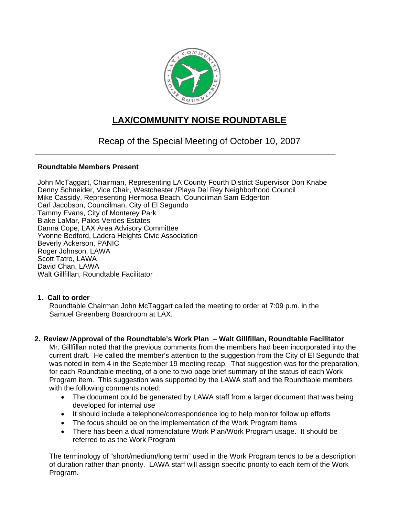

# **LAX/COMMUNITY NOISE ROUNDTABLE**

Recap of the Special Meeting of October 10, 2007

# **Roundtable Members Present**

John McTaggart, Chairman, Representing LA County Fourth District Supervisor Don Knabe Denny Schneider, Vice Chair, Westchester /Playa Del Rey Neighborhood Council Mike Cassidy, Representing Hermosa Beach, Councilman Sam Edgerton Carl Jacobson, Councilman, City of El Segundo Tammy Evans, City of Monterey Park Blake LaMar, Palos Verdes Estates Danna Cope, LAX Area Advisory Committee Yvonne Bedford, Ladera Heights Civic Association Beverly Ackerson, PANIC Roger Johnson, LAWA Scott Tatro, LAWA David Chan, LAWA Walt Gillfillan, Roundtable Facilitator

# **1. Call to order**

Roundtable Chairman John McTaggart called the meeting to order at 7:09 p.m. in the Samuel Greenberg Boardroom at LAX.

# **2. Review /Approval of the Roundtable's Work Plan – Walt Gillfillan, Roundtable Facilitator**

Mr. Gillfillan noted that the previous comments from the members had been incorporated into the current draft. He called the member's attention to the suggestion from the City of El Segundo that was noted in item 4 in the September 19 meeting recap. That suggestion was for the preparation, for each Roundtable meeting, of a one to two page brief summary of the status of each Work Program item. This suggestion was supported by the LAWA staff and the Roundtable members with the following comments noted:

- The document could be generated by LAWA staff from a larger document that was being developed for internal use
- It should include a telephone/correspondence log to help monitor follow up efforts
- The focus should be on the implementation of the Work Program items
- There has been a dual nomenclature Work Plan/Work Program usage. It should be referred to as the Work Program

The terminology of "short/medium/long term" used in the Work Program tends to be a description of duration rather than priority. LAWA staff will assign specific priority to each item of the Work Program.